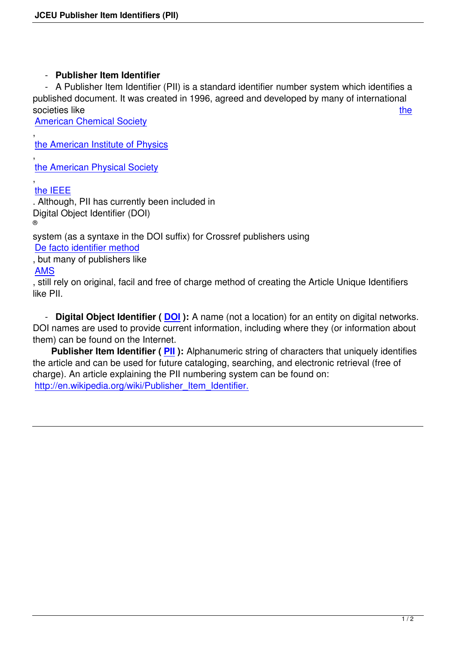## - **Publisher Item Identifier**

 - A Publisher Item Identifier (PII) is a standard identifier number system which identifies a published document. It was created in 1996, agreed and developed by many of international societies like the state of the state of the state of the state of the state of the state of the state of the state of the state of the state of the state of the state of the state of the state of the state of the state of

American Chemical Society

, the American Institute of Physics

, [the American Physical Socie](http://pubs.acs.org)ty

## , [the IEEE](http://www.aip.org)

[. Although, PII has currently bee](http://www.aps.org)n included in Digital Object Identifier (DOI) ®

[system \(a](http://www.ieee.org/index.html)s a syntaxe in the DOI suffix) for Crossref publishers using

De facto identifier method

, but many of publishers like

AMS

[, still rely on original, facil a](https://www.doi.org/factsheets/DOIIdentifiers.html)nd free of charge method of creating the Article Unique Identifiers like PII.

 - **Digital Object Identifier ( DOI ):** A name (not a location) for an entity on digital networks. DOI names are used to provide current information, including where they (or information about them) can be found on the Internet.

**Publisher Item Identifier ( [PII](https://www.doi.org/index.html) ):** Alphanumeric string of characters that uniquely identifies the article and can be used for future cataloging, searching, and electronic retrieval (free of charge). An article explaining the PII numbering system can be found on: http://en.wikipedia.org/wiki/Publ[ishe](http://en.wikipedia.org/wiki/Publisher_Item_Identifier)r\_Item\_Identifier.